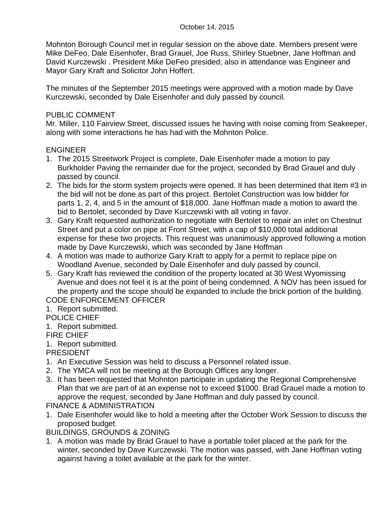Mohnton Borough Council met in regular session on the above date. Members present were Mike DeFeo, Dale Eisenhofer, Brad Grauel, Joe Russ, Shirley Stuebner, Jane Hoffman and David Kurczewski . President Mike DeFeo presided; also in attendance was Engineer and Mayor Gary Kraft and Solicitor John Hoffert.

The minutes of the September 2015 meetings were approved with a motion made by Dave Kurczewski, seconded by Dale Eisenhofer and duly passed by council.

# PUBLIC COMMENT

Mr. Miller, 110 Fairview Street, discussed issues he having with noise coming from Seakeeper, along with some interactions he has had with the Mohnton Police.

# ENGINEER

- 1. The 2015 Streetwork Project is complete, Dale Eisenhofer made a motion to pay Burkholder Paving the remainder due for the project, seconded by Brad Grauel and duly passed by council.
- 2. The bids for the storm system projects were opened. It has been determined that Item #3 in the bid will not be done as part of this project. Bertolet Construction was low bidder for parts 1, 2, 4, and 5 in the amount of \$18,000. Jane Hoffman made a motion to award the bid to Bertolet, seconded by Dave Kurczewski with all voting in favor.
- 3. Gary Kraft requested authorization to negotiate with Bertolet to repair an inlet on Chestnut Street and put a color on pipe at Front Street, with a cap of \$10,000 total additional expense for these two projects. This request was unanimously approved following a motion made by Dave Kurczewski, which was seconded by Jane Hoffman
- 4. A motion was made to authorize Gary Kraft to apply for a permit to replace pipe on Woodland Avenue, seconded by Dale Eisenhofer and duly passed by council.
- 5. Gary Kraft has reviewed the condition of the property located at 30 West Wyomissing Avenue and does not feel it is at the point of being condemned. A NOV has been issued for the property and the scope should be expanded to include the brick portion of the building. CODE ENFORCEMENT OFFICER
- 1. Report submitted.
- POLICE CHIEF
- 1. Report submitted.

# FIRE CHIEF

1. Report submitted.

PRESIDENT

- 1. An Executive Session was held to discuss a Personnel related issue.
- 2. The YMCA will not be meeting at the Borough Offices any longer.
- 3. It has been requested that Mohnton participate in updating the Regional Comprehensive Plan that we are part of at an expense not to exceed \$1000. Brad Grauel made a motion to approve the request, seconded by Jane Hoffman and duly passed by council. FINANCE & ADMINISTRATION
- 1. Dale Eisenhofer would like to hold a meeting after the October Work Session to discuss the proposed budget.

BUILDINGS, GROUNDS & ZONING

1. A motion was made by Brad Grauel to have a portable toilet placed at the park for the winter, seconded by Dave Kurczewski. The motion was passed, with Jane Hoffman voting against having a toilet available at the park for the winter.